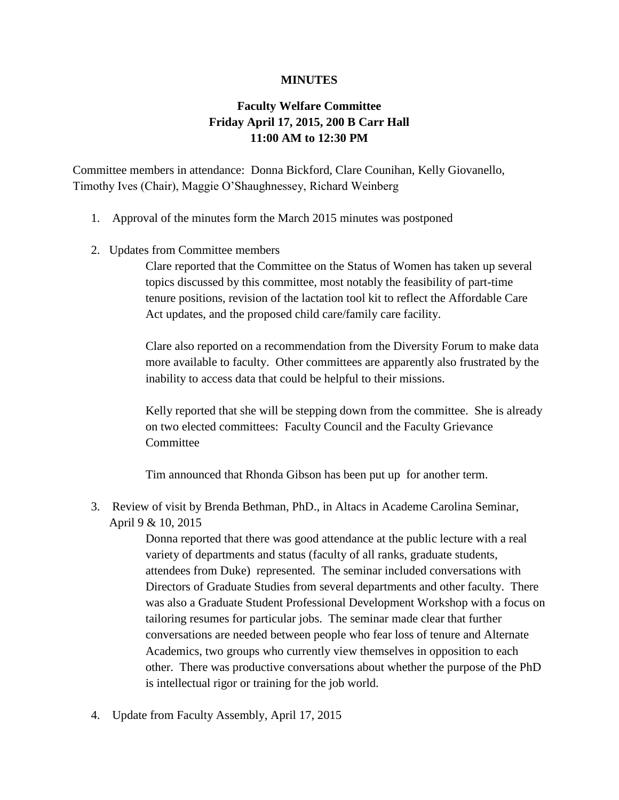## **MINUTES**

## **Faculty Welfare Committee Friday April 17, 2015, 200 B Carr Hall 11:00 AM to 12:30 PM**

Committee members in attendance: Donna Bickford, Clare Counihan, Kelly Giovanello, Timothy Ives (Chair), Maggie O'Shaughnessey, Richard Weinberg

- 1. Approval of the minutes form the March 2015 minutes was postponed
- 2. Updates from Committee members

Clare reported that the Committee on the Status of Women has taken up several topics discussed by this committee, most notably the feasibility of part-time tenure positions, revision of the lactation tool kit to reflect the Affordable Care Act updates, and the proposed child care/family care facility.

Clare also reported on a recommendation from the Diversity Forum to make data more available to faculty. Other committees are apparently also frustrated by the inability to access data that could be helpful to their missions.

Kelly reported that she will be stepping down from the committee. She is already on two elected committees: Faculty Council and the Faculty Grievance Committee

Tim announced that Rhonda Gibson has been put up for another term.

3. Review of visit by Brenda Bethman, PhD., in Altacs in Academe Carolina Seminar, April 9 & 10, 2015

> Donna reported that there was good attendance at the public lecture with a real variety of departments and status (faculty of all ranks, graduate students, attendees from Duke) represented. The seminar included conversations with Directors of Graduate Studies from several departments and other faculty. There was also a Graduate Student Professional Development Workshop with a focus on tailoring resumes for particular jobs. The seminar made clear that further conversations are needed between people who fear loss of tenure and Alternate Academics, two groups who currently view themselves in opposition to each other. There was productive conversations about whether the purpose of the PhD is intellectual rigor or training for the job world.

4. Update from Faculty Assembly, April 17, 2015